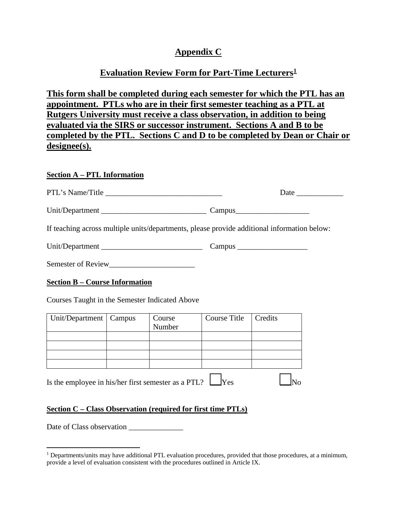## **Appendix C**

# **Evaluation Review Form for Part-Time Lecturers[1](#page-0-0)**

**This form shall be completed during each semester for which the PTL has an appointment. PTLs who are in their first semester teaching as a PTL at Rutgers University must receive a class observation, in addition to being evaluated via the SIRS or successor instrument. Sections A and B to be completed by the PTL. Sections C and D to be completed by Dean or Chair or designee(s).**

#### **Section A – PTL Information**

| PTL's Name/Title |        | Date |
|------------------|--------|------|
| Unit/Department_ | Campus |      |

If teaching across multiple units/departments, please provide additional information below:

| Unit/Department |  | $\mathcal{L}$ ampus |
|-----------------|--|---------------------|
|-----------------|--|---------------------|

Semester of Review\_\_\_\_\_\_\_\_\_\_\_\_\_\_\_\_\_\_\_\_\_\_

#### **Section B – Course Information**

Courses Taught in the Semester Indicated Above

| Unit/Department   Campus |                  | Course Title | Credits |
|--------------------------|------------------|--------------|---------|
|                          | Course<br>Number |              |         |
|                          |                  |              |         |
|                          |                  |              |         |
|                          |                  |              |         |
|                          |                  |              |         |

Is the employee in his/her first semester as a PTL?  $\Box$ Yes  $\Box$ No

### **Section C – Class Observation (required for first time PTLs)**

Date of Class observation \_\_\_\_\_\_\_\_\_\_\_\_\_\_

<span id="page-0-0"></span> $1$  Departments/units may have additional PTL evaluation procedures, provided that those procedures, at a minimum, provide a level of evaluation consistent with the procedures outlined in Article IX.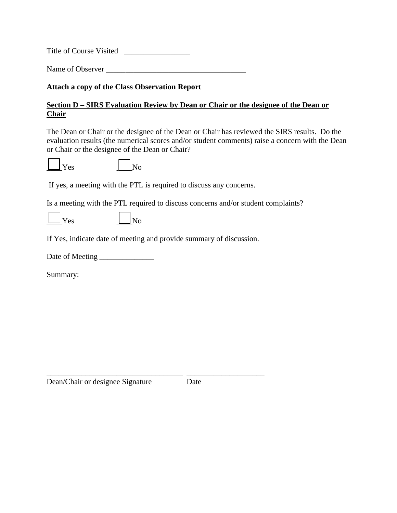Title of Course Visited \_\_\_\_\_\_\_\_\_\_\_\_\_\_\_\_\_

Name of Observer \_\_\_\_\_\_\_\_\_\_\_\_\_\_\_\_\_\_\_\_\_\_\_\_\_\_\_\_\_\_\_\_\_\_\_\_

**Attach a copy of the Class Observation Report** 

### **Section D – SIRS Evaluation Review by Dean or Chair or the designee of the Dean or Chair**

The Dean or Chair or the designee of the Dean or Chair has reviewed the SIRS results. Do the evaluation results (the numerical scores and/or student comments) raise a concern with the Dean or Chair or the designee of the Dean or Chair?

|--|--|

 $\overline{\rm ~No}$ 

If yes, a meeting with the PTL is required to discuss any concerns.

Is a meeting with the PTL required to discuss concerns and/or student complaints?

| -<br>л |  |
|--------|--|
|--------|--|

If Yes, indicate date of meeting and provide summary of discussion.

\_\_\_\_\_\_\_\_\_\_\_\_\_\_\_\_\_\_\_\_\_\_\_\_\_\_\_\_\_\_\_\_\_\_\_ \_\_\_\_\_\_\_\_\_\_\_\_\_\_\_\_\_\_\_\_

Date of Meeting \_\_\_\_\_\_\_\_\_\_\_\_\_\_

Summary:

Dean/Chair or designee Signature Date